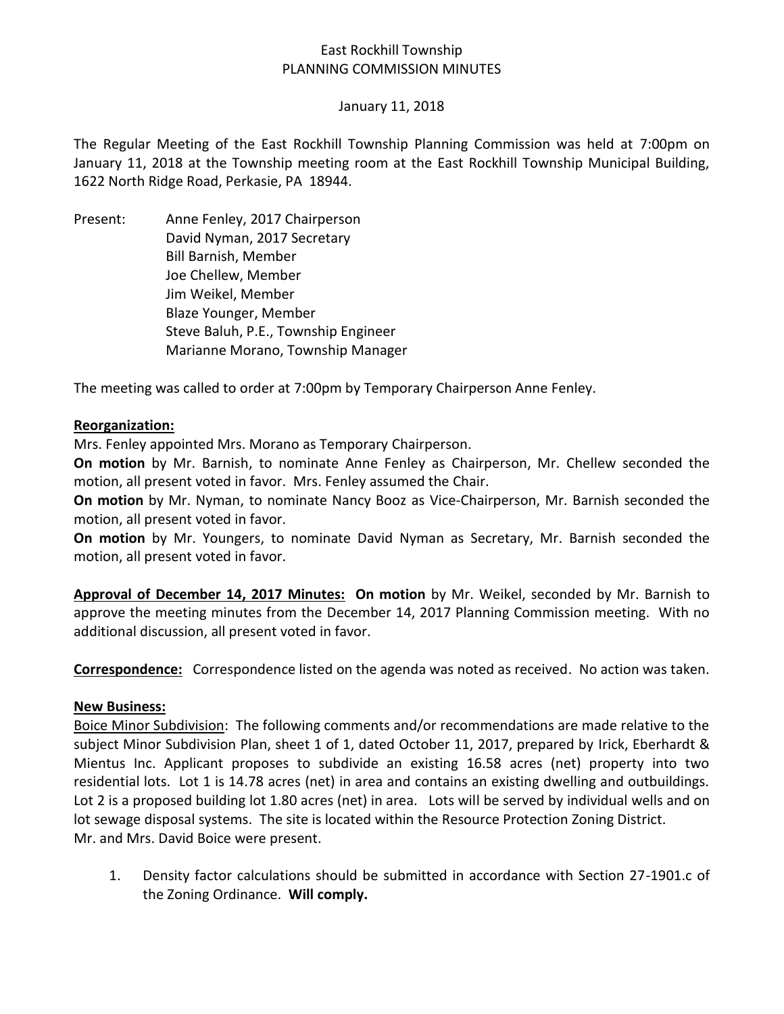# East Rockhill Township PLANNING COMMISSION MINUTES

### January 11, 2018

The Regular Meeting of the East Rockhill Township Planning Commission was held at 7:00pm on January 11, 2018 at the Township meeting room at the East Rockhill Township Municipal Building, 1622 North Ridge Road, Perkasie, PA 18944.

Present: Anne Fenley, 2017 Chairperson David Nyman, 2017 Secretary Bill Barnish, Member Joe Chellew, Member Jim Weikel, Member Blaze Younger, Member Steve Baluh, P.E., Township Engineer Marianne Morano, Township Manager

The meeting was called to order at 7:00pm by Temporary Chairperson Anne Fenley.

#### **Reorganization:**

Mrs. Fenley appointed Mrs. Morano as Temporary Chairperson.

**On motion** by Mr. Barnish, to nominate Anne Fenley as Chairperson, Mr. Chellew seconded the motion, all present voted in favor. Mrs. Fenley assumed the Chair.

**On motion** by Mr. Nyman, to nominate Nancy Booz as Vice-Chairperson, Mr. Barnish seconded the motion, all present voted in favor.

**On motion** by Mr. Youngers, to nominate David Nyman as Secretary, Mr. Barnish seconded the motion, all present voted in favor.

**Approval of December 14, 2017 Minutes: On motion** by Mr. Weikel, seconded by Mr. Barnish to approve the meeting minutes from the December 14, 2017 Planning Commission meeting. With no additional discussion, all present voted in favor.

**Correspondence:** Correspondence listed on the agenda was noted as received. No action was taken.

### **New Business:**

Boice Minor Subdivision: The following comments and/or recommendations are made relative to the subject Minor Subdivision Plan, sheet 1 of 1, dated October 11, 2017, prepared by Irick, Eberhardt & Mientus Inc. Applicant proposes to subdivide an existing 16.58 acres (net) property into two residential lots. Lot 1 is 14.78 acres (net) in area and contains an existing dwelling and outbuildings. Lot 2 is a proposed building lot 1.80 acres (net) in area. Lots will be served by individual wells and on lot sewage disposal systems. The site is located within the Resource Protection Zoning District. Mr. and Mrs. David Boice were present.

1. Density factor calculations should be submitted in accordance with Section 27-1901.c of the Zoning Ordinance. **Will comply.**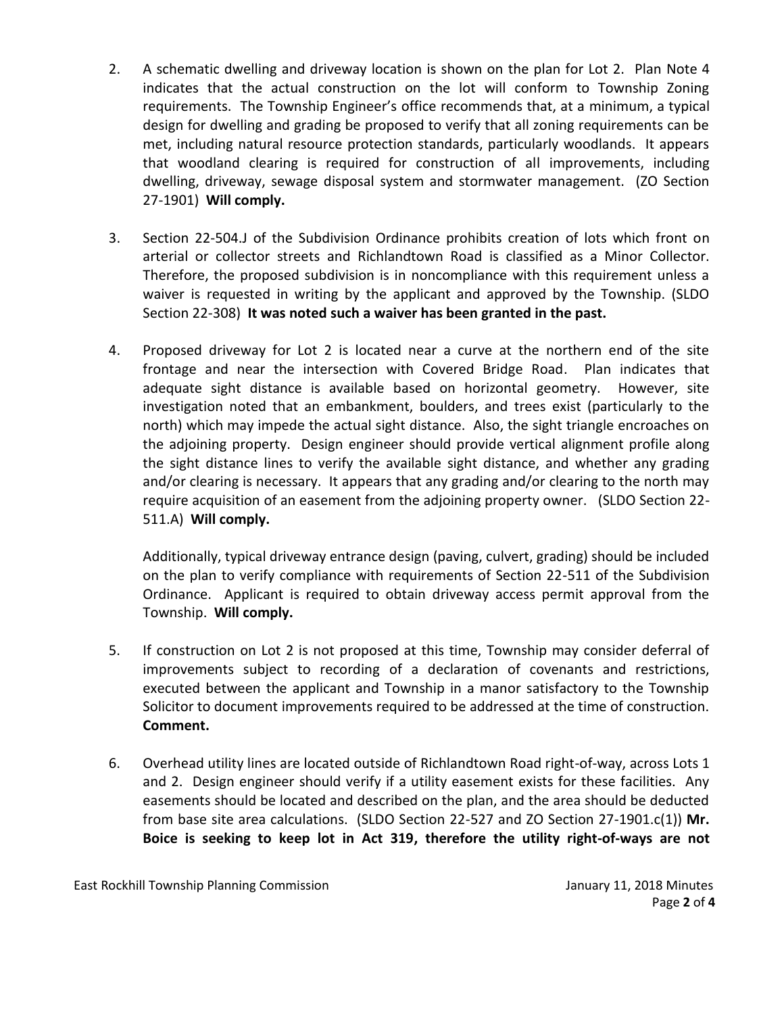- 2. A schematic dwelling and driveway location is shown on the plan for Lot 2. Plan Note 4 indicates that the actual construction on the lot will conform to Township Zoning requirements. The Township Engineer's office recommends that, at a minimum, a typical design for dwelling and grading be proposed to verify that all zoning requirements can be met, including natural resource protection standards, particularly woodlands. It appears that woodland clearing is required for construction of all improvements, including dwelling, driveway, sewage disposal system and stormwater management. (ZO Section 27-1901) **Will comply.**
- 3. Section 22-504.J of the Subdivision Ordinance prohibits creation of lots which front on arterial or collector streets and Richlandtown Road is classified as a Minor Collector. Therefore, the proposed subdivision is in noncompliance with this requirement unless a waiver is requested in writing by the applicant and approved by the Township. (SLDO Section 22-308) **It was noted such a waiver has been granted in the past.**
- 4. Proposed driveway for Lot 2 is located near a curve at the northern end of the site frontage and near the intersection with Covered Bridge Road. Plan indicates that adequate sight distance is available based on horizontal geometry. However, site investigation noted that an embankment, boulders, and trees exist (particularly to the north) which may impede the actual sight distance. Also, the sight triangle encroaches on the adjoining property. Design engineer should provide vertical alignment profile along the sight distance lines to verify the available sight distance, and whether any grading and/or clearing is necessary. It appears that any grading and/or clearing to the north may require acquisition of an easement from the adjoining property owner. (SLDO Section 22- 511.A) **Will comply.**

Additionally, typical driveway entrance design (paving, culvert, grading) should be included on the plan to verify compliance with requirements of Section 22-511 of the Subdivision Ordinance. Applicant is required to obtain driveway access permit approval from the Township. **Will comply.**

- 5. If construction on Lot 2 is not proposed at this time, Township may consider deferral of improvements subject to recording of a declaration of covenants and restrictions, executed between the applicant and Township in a manor satisfactory to the Township Solicitor to document improvements required to be addressed at the time of construction. **Comment.**
- 6. Overhead utility lines are located outside of Richlandtown Road right-of-way, across Lots 1 and 2. Design engineer should verify if a utility easement exists for these facilities. Any easements should be located and described on the plan, and the area should be deducted from base site area calculations. (SLDO Section 22-527 and ZO Section 27-1901.c(1)) **Mr. Boice is seeking to keep lot in Act 319, therefore the utility right-of-ways are not**

East Rockhill Township Planning Commission **Fig. 1. 1998** January 11, 2018 Minutes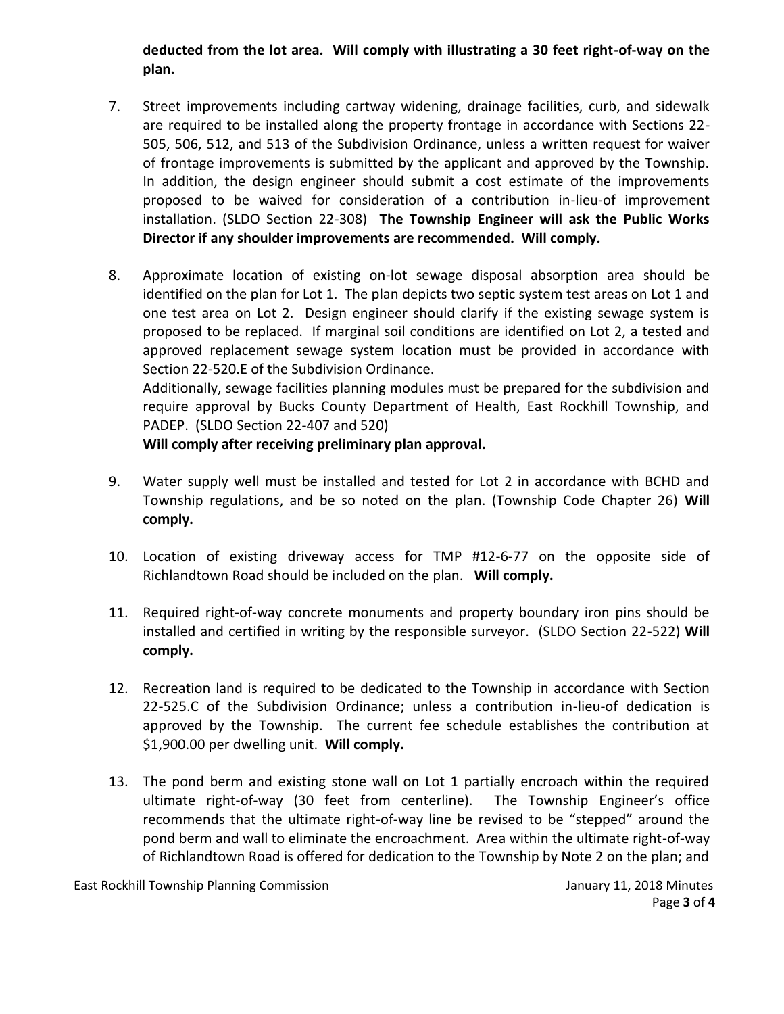**deducted from the lot area. Will comply with illustrating a 30 feet right-of-way on the plan.** 

- 7. Street improvements including cartway widening, drainage facilities, curb, and sidewalk are required to be installed along the property frontage in accordance with Sections 22- 505, 506, 512, and 513 of the Subdivision Ordinance, unless a written request for waiver of frontage improvements is submitted by the applicant and approved by the Township. In addition, the design engineer should submit a cost estimate of the improvements proposed to be waived for consideration of a contribution in-lieu-of improvement installation. (SLDO Section 22-308) **The Township Engineer will ask the Public Works Director if any shoulder improvements are recommended. Will comply.**
- 8. Approximate location of existing on-lot sewage disposal absorption area should be identified on the plan for Lot 1. The plan depicts two septic system test areas on Lot 1 and one test area on Lot 2. Design engineer should clarify if the existing sewage system is proposed to be replaced. If marginal soil conditions are identified on Lot 2, a tested and approved replacement sewage system location must be provided in accordance with Section 22-520.E of the Subdivision Ordinance. Additionally, sewage facilities planning modules must be prepared for the subdivision and

require approval by Bucks County Department of Health, East Rockhill Township, and PADEP. (SLDO Section 22-407 and 520)

# **Will comply after receiving preliminary plan approval.**

- 9. Water supply well must be installed and tested for Lot 2 in accordance with BCHD and Township regulations, and be so noted on the plan. (Township Code Chapter 26) **Will comply.**
- 10. Location of existing driveway access for TMP #12-6-77 on the opposite side of Richlandtown Road should be included on the plan. **Will comply.**
- 11. Required right-of-way concrete monuments and property boundary iron pins should be installed and certified in writing by the responsible surveyor. (SLDO Section 22-522) **Will comply.**
- 12. Recreation land is required to be dedicated to the Township in accordance with Section 22-525.C of the Subdivision Ordinance; unless a contribution in-lieu-of dedication is approved by the Township. The current fee schedule establishes the contribution at \$1,900.00 per dwelling unit. **Will comply.**
- 13. The pond berm and existing stone wall on Lot 1 partially encroach within the required ultimate right-of-way (30 feet from centerline). The Township Engineer's office recommends that the ultimate right-of-way line be revised to be "stepped" around the pond berm and wall to eliminate the encroachment. Area within the ultimate right-of-way of Richlandtown Road is offered for dedication to the Township by Note 2 on the plan; and